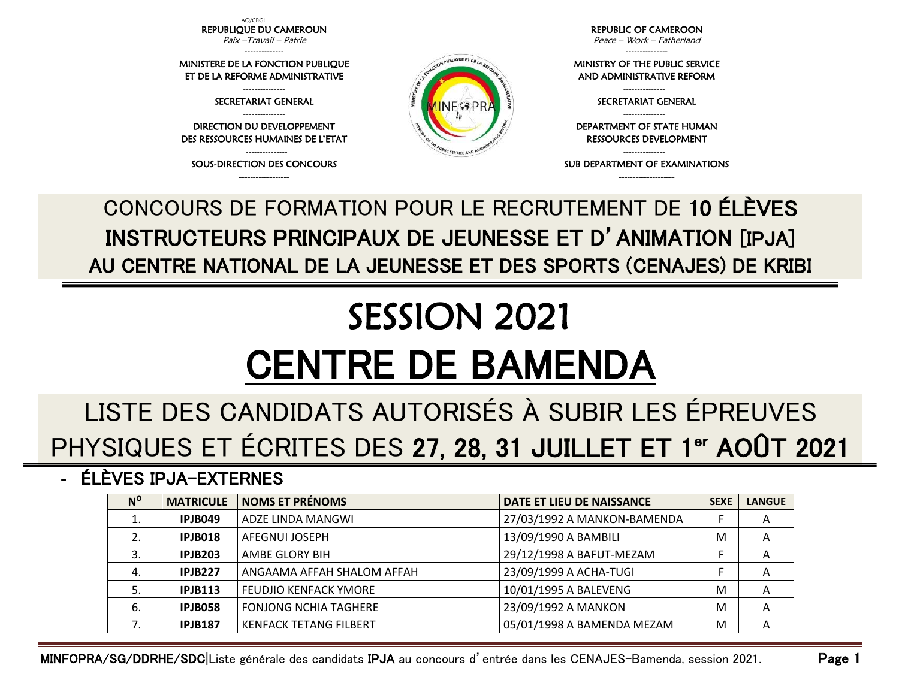AO/CBGI REPUBLIQUE DU CAMEROUN Paix –Travail – Patrie

-------------- MINISTERE DE LA FONCTION PUBLIQUE ET DE LA REFORME ADMINISTRATIVE --------------- SECRETARIAT GENERAL --------------- DIRECTION DU DEVELOPPEMENT DES RESSOURCES HUMAINES DE L'ETAT --------------- SOUS-DIRECTION DES CONCOURS

REPUBLIC OF CAMEROON Peace – Work – Fatherland

---------------

MINISTRY OF THE PUBLIC SERVICE AND ADMINISTRATIVE REFORM

> --------------- SECRETARIAT GENERAL ---------------

DEPARTMENT OF STATE HUMAN RESSOURCES DEVELOPMENT

--------------- SUB DEPARTMENT OF EXAMINATIONS

------------------ -------------------- CONCOURS DE FORMATION POUR LE RECRUTEMENT DE 10 ÉLÈVES INSTRUCTEURS PRINCIPAUX DE JEUNESSE ET D'ANIMATION [IPJA] AU CENTRE NATIONAL DE LA JEUNESSE ET DES SPORTS (CENAJES) DE KRIBI

## SESSION 2021 CENTRE DE BAMENDA

## LISTE DES CANDIDATS AUTORISÉS À SUBIR LES ÉPREUVES PHYSIQUES ET ÉCRITES DES 27, 28, 31 JUILLET ET 1<sup>er</sup> AOÛT 2021

- ÉLÈVES IPJA-EXTERNES

| $N^{\circ}$ | <b>MATRICULE</b> | <b>NOMS ET PRÉNOMS</b>        | DATE ET LIEU DE NAISSANCE   | <b>SEXE</b> | <b>LANGUE</b> |
|-------------|------------------|-------------------------------|-----------------------------|-------------|---------------|
| ⊥.          | <b>IPJB049</b>   | ADZE LINDA MANGWI             | 27/03/1992 A MANKON-BAMENDA |             | A             |
| 2.          | IPJB018          | AFEGNUI JOSEPH                | 13/09/1990 A BAMBILI        | M           | $\mathsf{A}$  |
| 3.          | <b>IPJB203</b>   | AMBE GLORY BIH                | 29/12/1998 A BAFUT-MEZAM    |             | A             |
| 4.          | <b>IPJB227</b>   | ANGAAMA AFFAH SHALOM AFFAH    | 23/09/1999 A ACHA-TUGI      |             | A             |
|             | <b>IPJB113</b>   | <b>FEUDJIO KENFACK YMORE</b>  | 10/01/1995 A BALEVENG       | M           | A             |
| 6.          | <b>IPJB058</b>   | <b>FONJONG NCHIA TAGHERE</b>  | 23/09/1992 A MANKON         | M           | A             |
|             | <b>IPJB187</b>   | <b>KENFACK TETANG FILBERT</b> | 05/01/1998 A BAMENDA MEZAM  | M           | A             |